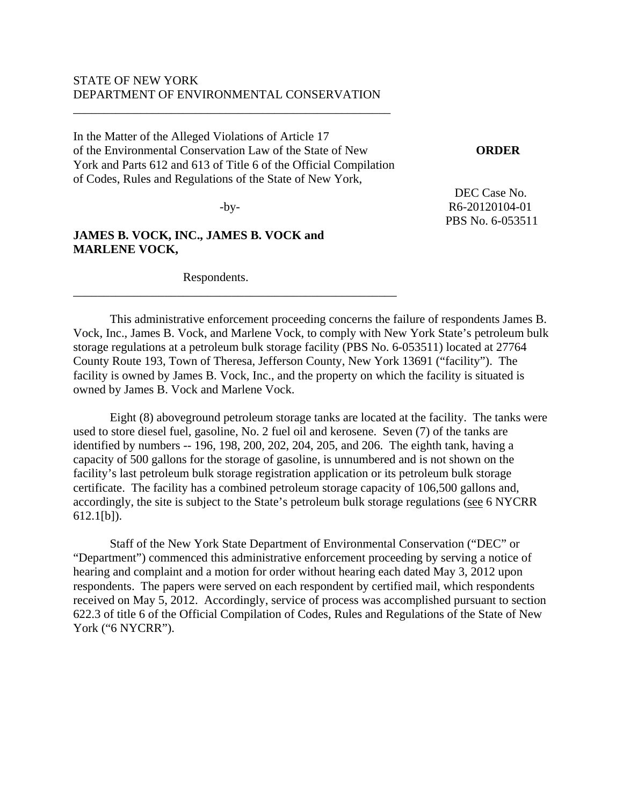## STATE OF NEW YORK DEPARTMENT OF ENVIRONMENTAL CONSERVATION

\_\_\_\_\_\_\_\_\_\_\_\_\_\_\_\_\_\_\_\_\_\_\_\_\_\_\_\_\_\_\_\_\_\_\_\_\_\_\_\_\_\_\_\_\_\_\_\_\_\_\_\_

In the Matter of the Alleged Violations of Article 17 of the Environmental Conservation Law of the State of New **ORDER** York and Parts 612 and 613 of Title 6 of the Official Compilation of Codes, Rules and Regulations of the State of New York,

\_\_\_\_\_\_\_\_\_\_\_\_\_\_\_\_\_\_\_\_\_\_\_\_\_\_\_\_\_\_\_\_\_\_\_\_\_\_\_\_\_\_\_\_\_\_\_\_\_\_\_\_\_

# **JAMES B. VOCK, INC., JAMES B. VOCK and MARLENE VOCK,**

Respondents.

DEC Case No. -by- R6-20120104-01 PBS No. 6-053511

 This administrative enforcement proceeding concerns the failure of respondents James B. Vock, Inc., James B. Vock, and Marlene Vock, to comply with New York State's petroleum bulk storage regulations at a petroleum bulk storage facility (PBS No. 6-053511) located at 27764 County Route 193, Town of Theresa, Jefferson County, New York 13691 ("facility"). The facility is owned by James B. Vock, Inc., and the property on which the facility is situated is owned by James B. Vock and Marlene Vock.

Eight (8) aboveground petroleum storage tanks are located at the facility. The tanks were used to store diesel fuel, gasoline, No. 2 fuel oil and kerosene. Seven (7) of the tanks are identified by numbers -- 196, 198, 200, 202, 204, 205, and 206. The eighth tank, having a capacity of 500 gallons for the storage of gasoline, is unnumbered and is not shown on the facility's last petroleum bulk storage registration application or its petroleum bulk storage certificate. The facility has a combined petroleum storage capacity of 106,500 gallons and, accordingly, the site is subject to the State's petroleum bulk storage regulations (see 6 NYCRR 612.1[b]).

 Staff of the New York State Department of Environmental Conservation ("DEC" or "Department") commenced this administrative enforcement proceeding by serving a notice of hearing and complaint and a motion for order without hearing each dated May 3, 2012 upon respondents. The papers were served on each respondent by certified mail, which respondents received on May 5, 2012. Accordingly, service of process was accomplished pursuant to section 622.3 of title 6 of the Official Compilation of Codes, Rules and Regulations of the State of New York ("6 NYCRR").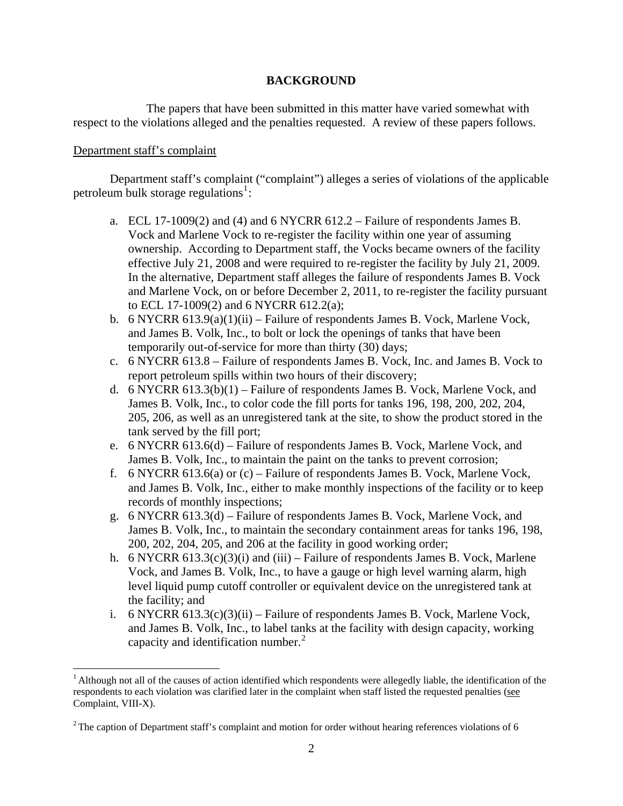# **BACKGROUND**

 The papers that have been submitted in this matter have varied somewhat with respect to the violations alleged and the penalties requested. A review of these papers follows.

# Department staff's complaint

1

 Department staff's complaint ("complaint") alleges a series of violations of the applicable petroleum bulk storage regulations<sup>[1](#page-1-0)</sup>:

- a. ECL 17-1009(2) and (4) and 6 NYCRR 612.2 Failure of respondents James B. Vock and Marlene Vock to re-register the facility within one year of assuming ownership. According to Department staff, the Vocks became owners of the facility effective July 21, 2008 and were required to re-register the facility by July 21, 2009. In the alternative, Department staff alleges the failure of respondents James B. Vock and Marlene Vock, on or before December 2, 2011, to re-register the facility pursuant to ECL 17-1009(2) and 6 NYCRR 612.2(a);
- b. 6 NYCRR 613.9(a)(1)(ii) Failure of respondents James B. Vock, Marlene Vock, and James B. Volk, Inc., to bolt or lock the openings of tanks that have been temporarily out-of-service for more than thirty (30) days;
- c. 6 NYCRR 613.8 Failure of respondents James B. Vock, Inc. and James B. Vock to report petroleum spills within two hours of their discovery;
- d. 6 NYCRR 613.3(b)(1) Failure of respondents James B. Vock, Marlene Vock, and James B. Volk, Inc., to color code the fill ports for tanks 196, 198, 200, 202, 204, 205, 206, as well as an unregistered tank at the site, to show the product stored in the tank served by the fill port;
- e. 6 NYCRR 613.6(d) Failure of respondents James B. Vock, Marlene Vock, and James B. Volk, Inc., to maintain the paint on the tanks to prevent corrosion;
- f. 6 NYCRR 613.6(a) or (c) Failure of respondents James B. Vock, Marlene Vock, and James B. Volk, Inc., either to make monthly inspections of the facility or to keep records of monthly inspections;
- g. 6 NYCRR 613.3(d) Failure of respondents James B. Vock, Marlene Vock, and James B. Volk, Inc., to maintain the secondary containment areas for tanks 196, 198, 200, 202, 204, 205, and 206 at the facility in good working order;
- h. 6 NYCRR 613.3(c)(3)(i) and (iii) Failure of respondents James B. Vock, Marlene Vock, and James B. Volk, Inc., to have a gauge or high level warning alarm, high level liquid pump cutoff controller or equivalent device on the unregistered tank at the facility; and
- i.  $6$  NYCRR  $613.3(c)(3)(ii)$  Failure of respondents James B. Vock, Marlene Vock, and James B. Volk, Inc., to label tanks at the facility with design capacity, working capacity and identification number. $<sup>2</sup>$  $<sup>2</sup>$  $<sup>2</sup>$ </sup>

<span id="page-1-0"></span><sup>&</sup>lt;sup>1</sup> Although not all of the causes of action identified which respondents were allegedly liable, the identification of the respondents to each violation was clarified later in the complaint when staff listed the requested penalties (see Complaint, VIII-X).

<span id="page-1-1"></span> $2$ The caption of Department staff's complaint and motion for order without hearing references violations of 6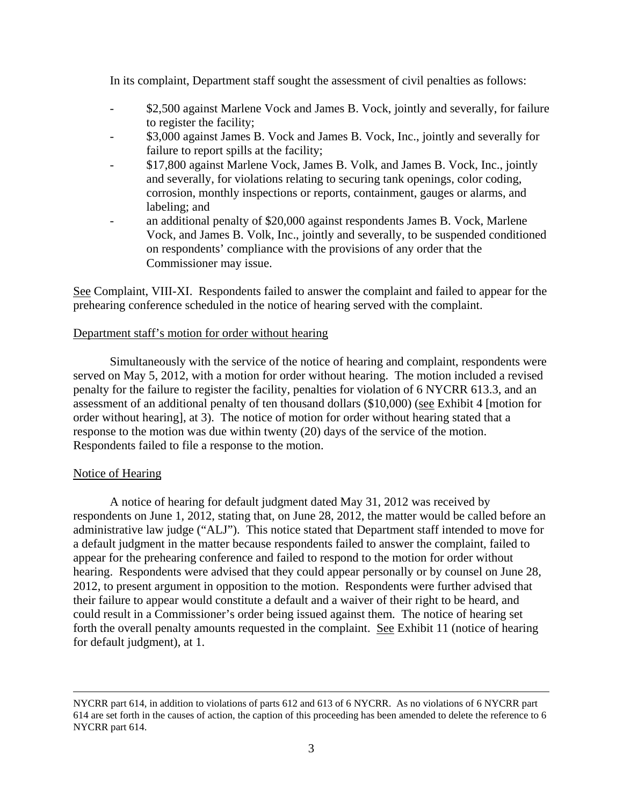In its complaint, Department staff sought the assessment of civil penalties as follows:

- \$2,500 against Marlene Vock and James B. Vock, jointly and severally, for failure to register the facility;
- \$3,000 against James B. Vock and James B. Vock, Inc., jointly and severally for failure to report spills at the facility;
- \$17,800 against Marlene Vock, James B. Volk, and James B. Vock, Inc., jointly and severally, for violations relating to securing tank openings, color coding, corrosion, monthly inspections or reports, containment, gauges or alarms, and labeling; and
- an additional penalty of \$20,000 against respondents James B. Vock, Marlene Vock, and James B. Volk, Inc., jointly and severally, to be suspended conditioned on respondents' compliance with the provisions of any order that the Commissioner may issue.

See Complaint, VIII-XI. Respondents failed to answer the complaint and failed to appear for the prehearing conference scheduled in the notice of hearing served with the complaint.

# Department staff's motion for order without hearing

Simultaneously with the service of the notice of hearing and complaint, respondents were served on May 5, 2012, with a motion for order without hearing. The motion included a revised penalty for the failure to register the facility, penalties for violation of 6 NYCRR 613.3, and an assessment of an additional penalty of ten thousand dollars (\$10,000) (see Exhibit 4 [motion for order without hearing], at 3). The notice of motion for order without hearing stated that a response to the motion was due within twenty (20) days of the service of the motion. Respondents failed to file a response to the motion.

### Notice of Hearing

A notice of hearing for default judgment dated May 31, 2012 was received by respondents on June 1, 2012, stating that, on June 28, 2012, the matter would be called before an administrative law judge ("ALJ"). This notice stated that Department staff intended to move for a default judgment in the matter because respondents failed to answer the complaint, failed to appear for the prehearing conference and failed to respond to the motion for order without hearing. Respondents were advised that they could appear personally or by counsel on June 28, 2012, to present argument in opposition to the motion. Respondents were further advised that their failure to appear would constitute a default and a waiver of their right to be heard, and could result in a Commissioner's order being issued against them. The notice of hearing set forth the overall penalty amounts requested in the complaint. See Exhibit 11 (notice of hearing for default judgment), at 1.

NYCRR part 614, in addition to violations of parts 612 and 613 of 6 NYCRR. As no violations of 6 NYCRR part 614 are set forth in the causes of action, the caption of this proceeding has been amended to delete the reference to 6 NYCRR part 614.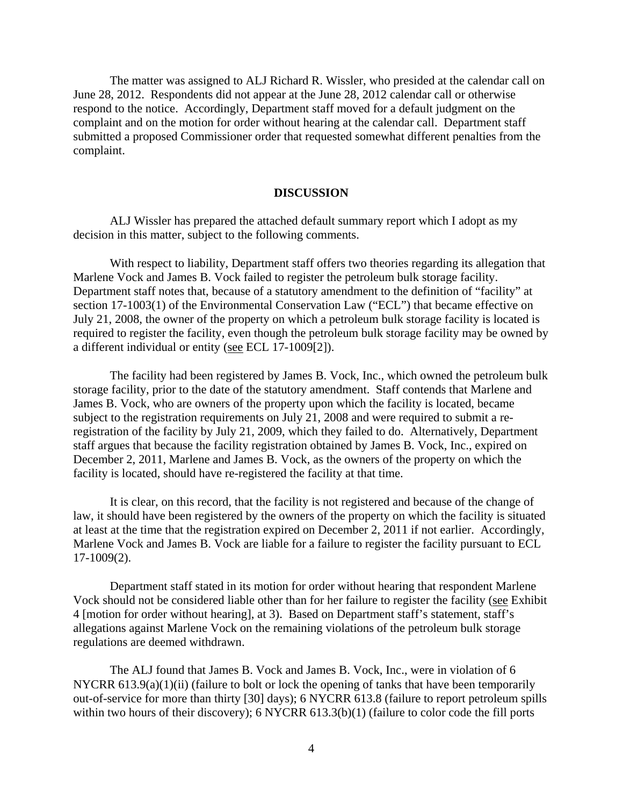The matter was assigned to ALJ Richard R. Wissler, who presided at the calendar call on June 28, 2012. Respondents did not appear at the June 28, 2012 calendar call or otherwise respond to the notice. Accordingly, Department staff moved for a default judgment on the complaint and on the motion for order without hearing at the calendar call. Department staff submitted a proposed Commissioner order that requested somewhat different penalties from the complaint.

#### **DISCUSSION**

ALJ Wissler has prepared the attached default summary report which I adopt as my decision in this matter, subject to the following comments.

With respect to liability, Department staff offers two theories regarding its allegation that Marlene Vock and James B. Vock failed to register the petroleum bulk storage facility. Department staff notes that, because of a statutory amendment to the definition of "facility" at section 17-1003(1) of the Environmental Conservation Law ("ECL") that became effective on July 21, 2008, the owner of the property on which a petroleum bulk storage facility is located is required to register the facility, even though the petroleum bulk storage facility may be owned by a different individual or entity (see ECL 17-1009[2]).

The facility had been registered by James B. Vock, Inc., which owned the petroleum bulk storage facility, prior to the date of the statutory amendment. Staff contends that Marlene and James B. Vock, who are owners of the property upon which the facility is located, became subject to the registration requirements on July 21, 2008 and were required to submit a reregistration of the facility by July 21, 2009, which they failed to do. Alternatively, Department staff argues that because the facility registration obtained by James B. Vock, Inc., expired on December 2, 2011, Marlene and James B. Vock, as the owners of the property on which the facility is located, should have re-registered the facility at that time.

It is clear, on this record, that the facility is not registered and because of the change of law, it should have been registered by the owners of the property on which the facility is situated at least at the time that the registration expired on December 2, 2011 if not earlier. Accordingly, Marlene Vock and James B. Vock are liable for a failure to register the facility pursuant to ECL 17-1009(2).

Department staff stated in its motion for order without hearing that respondent Marlene Vock should not be considered liable other than for her failure to register the facility (see Exhibit 4 [motion for order without hearing], at 3). Based on Department staff's statement, staff's allegations against Marlene Vock on the remaining violations of the petroleum bulk storage regulations are deemed withdrawn.

 The ALJ found that James B. Vock and James B. Vock, Inc., were in violation of 6 NYCRR 613.9(a)(1)(ii) (failure to bolt or lock the opening of tanks that have been temporarily out-of-service for more than thirty [30] days); 6 NYCRR 613.8 (failure to report petroleum spills within two hours of their discovery); 6 NYCRR 613.3(b)(1) (failure to color code the fill ports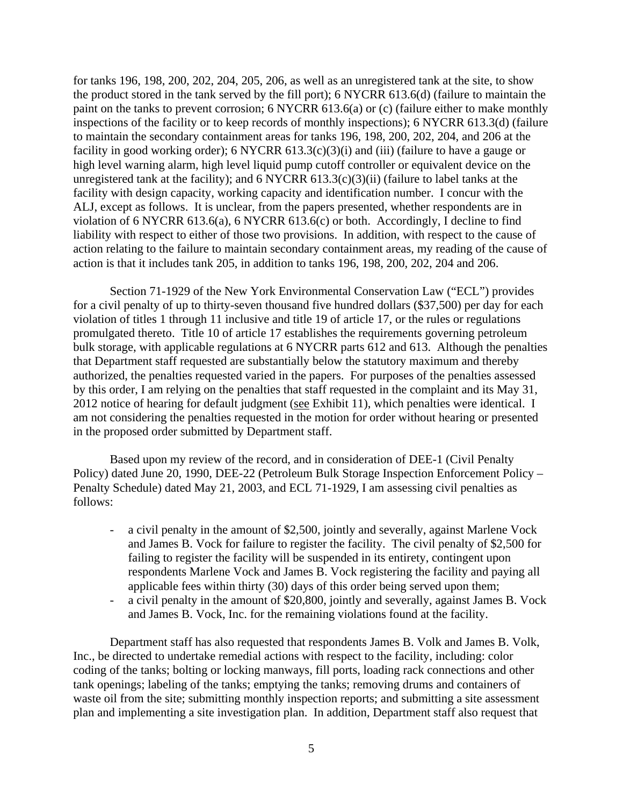for tanks 196, 198, 200, 202, 204, 205, 206, as well as an unregistered tank at the site, to show the product stored in the tank served by the fill port); 6 NYCRR 613.6(d) (failure to maintain the paint on the tanks to prevent corrosion; 6 NYCRR 613.6(a) or (c) (failure either to make monthly inspections of the facility or to keep records of monthly inspections); 6 NYCRR 613.3(d) (failure to maintain the secondary containment areas for tanks 196, 198, 200, 202, 204, and 206 at the facility in good working order); 6 NYCRR  $613.3(c)(3)(i)$  and (iii) (failure to have a gauge or high level warning alarm, high level liquid pump cutoff controller or equivalent device on the unregistered tank at the facility); and  $6$  NYCRR  $613.3(c)(3)(ii)$  (failure to label tanks at the facility with design capacity, working capacity and identification number. I concur with the ALJ, except as follows. It is unclear, from the papers presented, whether respondents are in violation of 6 NYCRR 613.6(a), 6 NYCRR 613.6(c) or both. Accordingly, I decline to find liability with respect to either of those two provisions. In addition, with respect to the cause of action relating to the failure to maintain secondary containment areas, my reading of the cause of action is that it includes tank 205, in addition to tanks 196, 198, 200, 202, 204 and 206.

Section 71-1929 of the New York Environmental Conservation Law ("ECL") provides for a civil penalty of up to thirty-seven thousand five hundred dollars (\$37,500) per day for each violation of titles 1 through 11 inclusive and title 19 of article 17, or the rules or regulations promulgated thereto. Title 10 of article 17 establishes the requirements governing petroleum bulk storage, with applicable regulations at 6 NYCRR parts 612 and 613. Although the penalties that Department staff requested are substantially below the statutory maximum and thereby authorized, the penalties requested varied in the papers. For purposes of the penalties assessed by this order, I am relying on the penalties that staff requested in the complaint and its May 31, 2012 notice of hearing for default judgment (see Exhibit 11), which penalties were identical. I am not considering the penalties requested in the motion for order without hearing or presented in the proposed order submitted by Department staff.

Based upon my review of the record, and in consideration of DEE-1 (Civil Penalty Policy) dated June 20, 1990, DEE-22 (Petroleum Bulk Storage Inspection Enforcement Policy – Penalty Schedule) dated May 21, 2003, and ECL 71-1929, I am assessing civil penalties as follows:

- a civil penalty in the amount of \$2,500, jointly and severally, against Marlene Vock and James B. Vock for failure to register the facility. The civil penalty of \$2,500 for failing to register the facility will be suspended in its entirety, contingent upon respondents Marlene Vock and James B. Vock registering the facility and paying all applicable fees within thirty (30) days of this order being served upon them;
- a civil penalty in the amount of \$20,800, jointly and severally, against James B. Vock and James B. Vock, Inc. for the remaining violations found at the facility.

Department staff has also requested that respondents James B. Volk and James B. Volk, Inc., be directed to undertake remedial actions with respect to the facility, including: color coding of the tanks; bolting or locking manways, fill ports, loading rack connections and other tank openings; labeling of the tanks; emptying the tanks; removing drums and containers of waste oil from the site; submitting monthly inspection reports; and submitting a site assessment plan and implementing a site investigation plan. In addition, Department staff also request that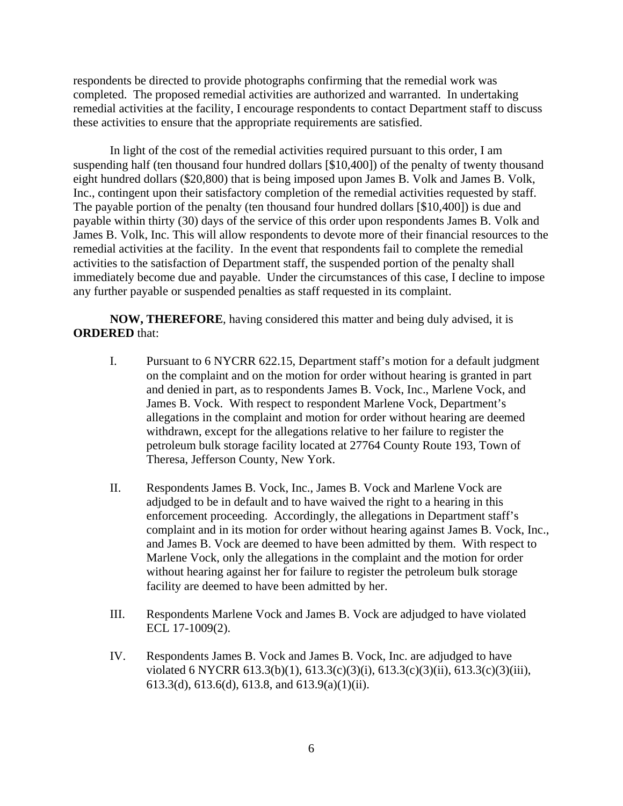respondents be directed to provide photographs confirming that the remedial work was completed. The proposed remedial activities are authorized and warranted. In undertaking remedial activities at the facility, I encourage respondents to contact Department staff to discuss these activities to ensure that the appropriate requirements are satisfied.

In light of the cost of the remedial activities required pursuant to this order, I am suspending half (ten thousand four hundred dollars [\$10,400]) of the penalty of twenty thousand eight hundred dollars (\$20,800) that is being imposed upon James B. Volk and James B. Volk, Inc., contingent upon their satisfactory completion of the remedial activities requested by staff. The payable portion of the penalty (ten thousand four hundred dollars [\$10,400]) is due and payable within thirty (30) days of the service of this order upon respondents James B. Volk and James B. Volk, Inc. This will allow respondents to devote more of their financial resources to the remedial activities at the facility. In the event that respondents fail to complete the remedial activities to the satisfaction of Department staff, the suspended portion of the penalty shall immediately become due and payable. Under the circumstances of this case, I decline to impose any further payable or suspended penalties as staff requested in its complaint.

**NOW, THEREFORE**, having considered this matter and being duly advised, it is **ORDERED** that:

- I. Pursuant to 6 NYCRR 622.15, Department staff's motion for a default judgment on the complaint and on the motion for order without hearing is granted in part and denied in part, as to respondents James B. Vock, Inc., Marlene Vock, and James B. Vock. With respect to respondent Marlene Vock, Department's allegations in the complaint and motion for order without hearing are deemed withdrawn, except for the allegations relative to her failure to register the petroleum bulk storage facility located at 27764 County Route 193, Town of Theresa, Jefferson County, New York.
- II. Respondents James B. Vock, Inc., James B. Vock and Marlene Vock are adjudged to be in default and to have waived the right to a hearing in this enforcement proceeding. Accordingly, the allegations in Department staff's complaint and in its motion for order without hearing against James B. Vock, Inc., and James B. Vock are deemed to have been admitted by them. With respect to Marlene Vock, only the allegations in the complaint and the motion for order without hearing against her for failure to register the petroleum bulk storage facility are deemed to have been admitted by her.
- III. Respondents Marlene Vock and James B. Vock are adjudged to have violated ECL 17-1009(2).
- IV. Respondents James B. Vock and James B. Vock, Inc. are adjudged to have violated 6 NYCRR 613.3(b)(1), 613.3(c)(3)(i), 613.3(c)(3)(ii), 613.3(c)(3)(iii), 613.3(d), 613.6(d), 613.8, and 613.9(a)(1)(ii).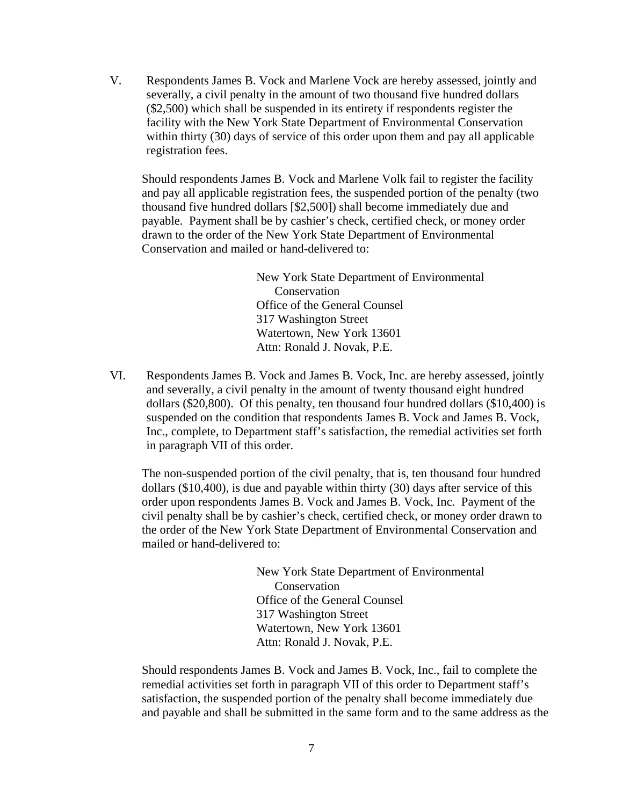V. Respondents James B. Vock and Marlene Vock are hereby assessed, jointly and severally, a civil penalty in the amount of two thousand five hundred dollars (\$2,500) which shall be suspended in its entirety if respondents register the facility with the New York State Department of Environmental Conservation within thirty (30) days of service of this order upon them and pay all applicable registration fees.

Should respondents James B. Vock and Marlene Volk fail to register the facility and pay all applicable registration fees, the suspended portion of the penalty (two thousand five hundred dollars [\$2,500]) shall become immediately due and payable. Payment shall be by cashier's check, certified check, or money order drawn to the order of the New York State Department of Environmental Conservation and mailed or hand-delivered to:

> New York State Department of Environmental Conservation Office of the General Counsel 317 Washington Street Watertown, New York 13601 Attn: Ronald J. Novak, P.E.

VI. Respondents James B. Vock and James B. Vock, Inc. are hereby assessed, jointly and severally, a civil penalty in the amount of twenty thousand eight hundred dollars (\$20,800). Of this penalty, ten thousand four hundred dollars (\$10,400) is suspended on the condition that respondents James B. Vock and James B. Vock, Inc., complete, to Department staff's satisfaction, the remedial activities set forth in paragraph VII of this order.

The non-suspended portion of the civil penalty, that is, ten thousand four hundred dollars (\$10,400), is due and payable within thirty (30) days after service of this order upon respondents James B. Vock and James B. Vock, Inc. Payment of the civil penalty shall be by cashier's check, certified check, or money order drawn to the order of the New York State Department of Environmental Conservation and mailed or hand-delivered to:

> New York State Department of Environmental **Conservation**  Office of the General Counsel 317 Washington Street Watertown, New York 13601 Attn: Ronald J. Novak, P.E.

Should respondents James B. Vock and James B. Vock, Inc., fail to complete the remedial activities set forth in paragraph VII of this order to Department staff's satisfaction, the suspended portion of the penalty shall become immediately due and payable and shall be submitted in the same form and to the same address as the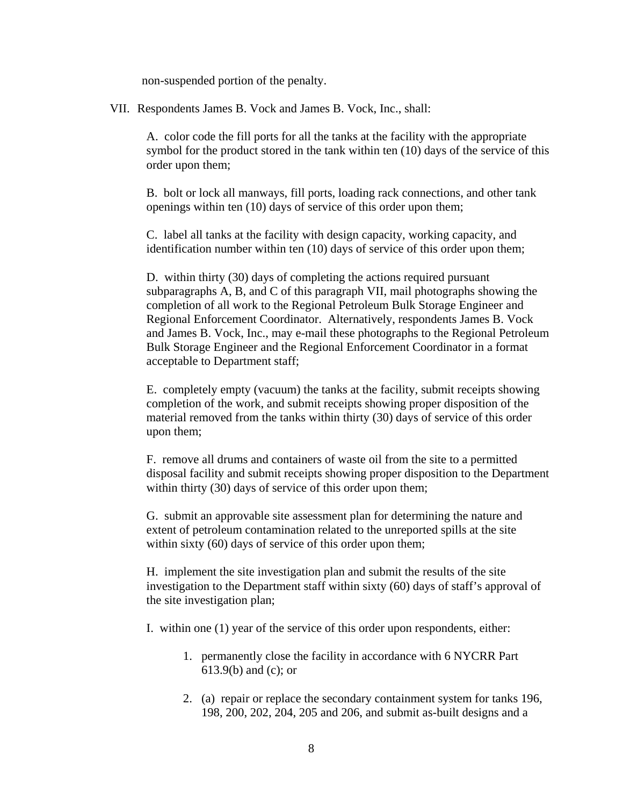non-suspended portion of the penalty.

VII. Respondents James B. Vock and James B. Vock, Inc., shall:

A. color code the fill ports for all the tanks at the facility with the appropriate symbol for the product stored in the tank within ten (10) days of the service of this order upon them;

B. bolt or lock all manways, fill ports, loading rack connections, and other tank openings within ten (10) days of service of this order upon them;

C. label all tanks at the facility with design capacity, working capacity, and identification number within ten (10) days of service of this order upon them;

D. within thirty (30) days of completing the actions required pursuant subparagraphs A, B, and C of this paragraph VII, mail photographs showing the completion of all work to the Regional Petroleum Bulk Storage Engineer and Regional Enforcement Coordinator. Alternatively, respondents James B. Vock and James B. Vock, Inc., may e-mail these photographs to the Regional Petroleum Bulk Storage Engineer and the Regional Enforcement Coordinator in a format acceptable to Department staff;

E. completely empty (vacuum) the tanks at the facility, submit receipts showing completion of the work, and submit receipts showing proper disposition of the material removed from the tanks within thirty (30) days of service of this order upon them;

F. remove all drums and containers of waste oil from the site to a permitted disposal facility and submit receipts showing proper disposition to the Department within thirty (30) days of service of this order upon them;

G. submit an approvable site assessment plan for determining the nature and extent of petroleum contamination related to the unreported spills at the site within sixty (60) days of service of this order upon them;

H. implement the site investigation plan and submit the results of the site investigation to the Department staff within sixty (60) days of staff's approval of the site investigation plan;

I. within one (1) year of the service of this order upon respondents, either:

- 1. permanently close the facility in accordance with 6 NYCRR Part 613.9(b) and (c); or
- 2. (a) repair or replace the secondary containment system for tanks 196, 198, 200, 202, 204, 205 and 206, and submit as-built designs and a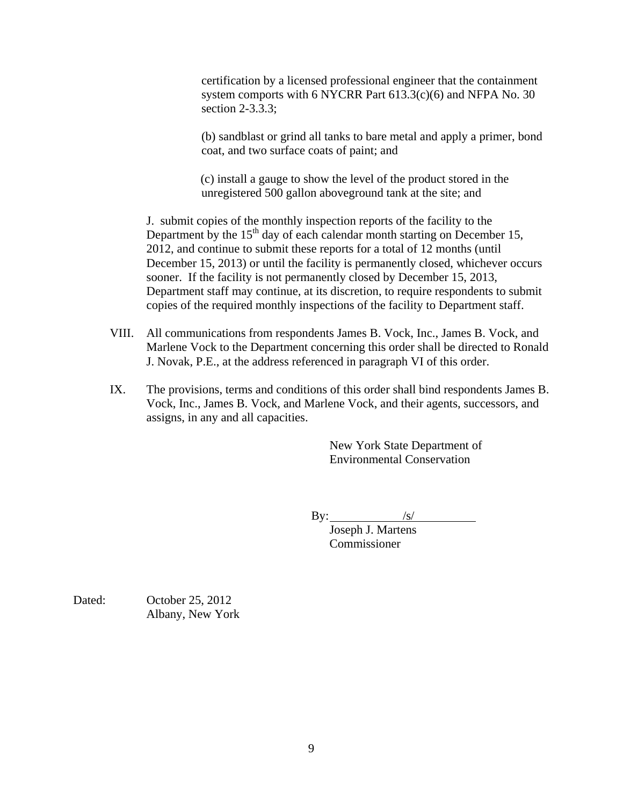certification by a licensed professional engineer that the containment system comports with 6 NYCRR Part 613.3(c)(6) and NFPA No. 30 section 2-3.3.3;

(b) sandblast or grind all tanks to bare metal and apply a primer, bond coat, and two surface coats of paint; and

 (c) install a gauge to show the level of the product stored in the unregistered 500 gallon aboveground tank at the site; and

J. submit copies of the monthly inspection reports of the facility to the Department by the  $15<sup>th</sup>$  day of each calendar month starting on December 15, 2012, and continue to submit these reports for a total of 12 months (until December 15, 2013) or until the facility is permanently closed, whichever occurs sooner. If the facility is not permanently closed by December 15, 2013, Department staff may continue, at its discretion, to require respondents to submit copies of the required monthly inspections of the facility to Department staff.

- VIII. All communications from respondents James B. Vock, Inc., James B. Vock, and Marlene Vock to the Department concerning this order shall be directed to Ronald J. Novak, P.E., at the address referenced in paragraph VI of this order.
- IX. The provisions, terms and conditions of this order shall bind respondents James B. Vock, Inc., James B. Vock, and Marlene Vock, and their agents, successors, and assigns, in any and all capacities.

New York State Department of Environmental Conservation

 $By:$ 

 Joseph J. Martens Commissioner

Dated: October 25, 2012 Albany, New York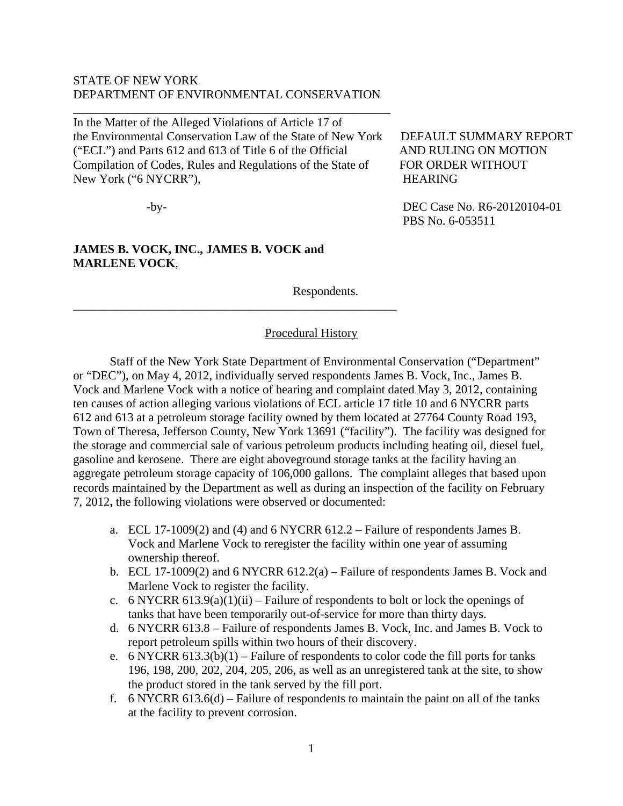## STATE OF NEW YORK DEPARTMENT OF ENVIRONMENTAL CONSERVATION

\_\_\_\_\_\_\_\_\_\_\_\_\_\_\_\_\_\_\_\_\_\_\_\_\_\_\_\_\_\_\_\_\_\_\_\_\_\_\_\_\_\_\_\_\_\_\_\_\_\_\_\_

In the Matter of the Alleged Violations of Article 17 of the Environmental Conservation Law of the State of New York DEFAULT SUMMARY REPORT ("ECL") and Parts 612 and 613 of Title 6 of the Official AND RULING ON MOTION Compilation of Codes, Rules and Regulations of the State of FOR ORDER WITHOUT New York ("6 NYCRR"), HEARING

\_\_\_\_\_\_\_\_\_\_\_\_\_\_\_\_\_\_\_\_\_\_\_\_\_\_\_\_\_\_\_\_\_\_\_\_\_\_\_\_\_\_\_\_\_\_\_\_\_\_\_\_\_

# **JAMES B. VOCK, INC., JAMES B. VOCK and MARLENE VOCK**,

Respondents.

# Procedural History

Staff of the New York State Department of Environmental Conservation ("Department" or "DEC"), on May 4, 2012, individually served respondents James B. Vock, Inc., James B. Vock and Marlene Vock with a notice of hearing and complaint dated May 3, 2012, containing ten causes of action alleging various violations of ECL article 17 title 10 and 6 NYCRR parts 612 and 613 at a petroleum storage facility owned by them located at 27764 County Road 193, Town of Theresa, Jefferson County, New York 13691 ("facility"). The facility was designed for the storage and commercial sale of various petroleum products including heating oil, diesel fuel, gasoline and kerosene. There are eight aboveground storage tanks at the facility having an aggregate petroleum storage capacity of 106,000 gallons. The complaint alleges that based upon records maintained by the Department as well as during an inspection of the facility on February 7, 2012**,** the following violations were observed or documented:

- a. ECL 17-1009(2) and (4) and 6 NYCRR 612.2 Failure of respondents James B. Vock and Marlene Vock to reregister the facility within one year of assuming ownership thereof.
- b. ECL 17-1009(2) and 6 NYCRR 612.2(a) Failure of respondents James B. Vock and Marlene Vock to register the facility.
- c. 6 NYCRR 613.9(a)(1)(ii) Failure of respondents to bolt or lock the openings of tanks that have been temporarily out-of-service for more than thirty days.
- d. 6 NYCRR 613.8 Failure of respondents James B. Vock, Inc. and James B. Vock to report petroleum spills within two hours of their discovery.
- e. 6 NYCRR  $613.3(b)(1)$  Failure of respondents to color code the fill ports for tanks 196, 198, 200, 202, 204, 205, 206, as well as an unregistered tank at the site, to show the product stored in the tank served by the fill port.
- f. 6 NYCRR 613.6(d) Failure of respondents to maintain the paint on all of the tanks at the facility to prevent corrosion.

-by-<br>DEC Case No. R6-20120104-01 PBS No. 6-053511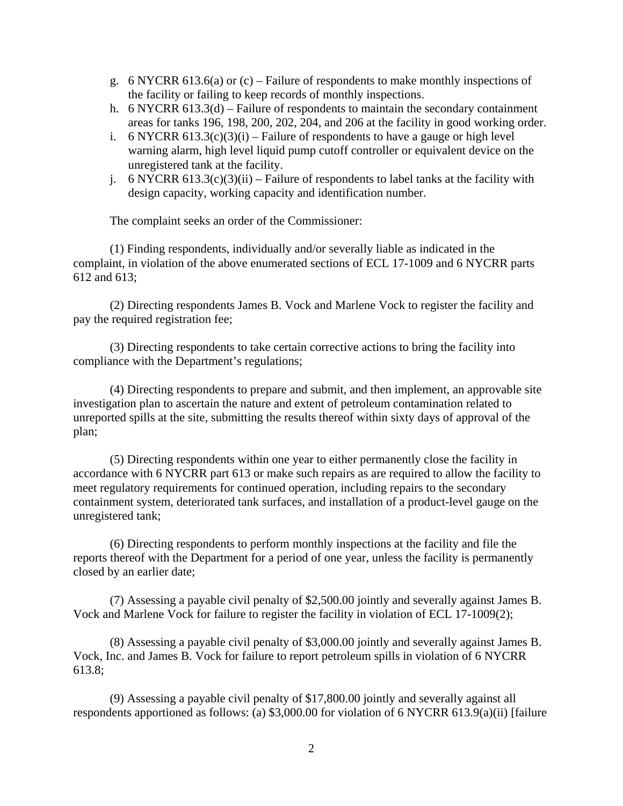- g. 6 NYCRR 613.6(a) or  $(c)$  Failure of respondents to make monthly inspections of the facility or failing to keep records of monthly inspections.
- h. 6 NYCRR 613.3(d) Failure of respondents to maintain the secondary containment areas for tanks 196, 198, 200, 202, 204, and 206 at the facility in good working order.
- i. 6 NYCRR  $613.3(c)(3)(i)$  Failure of respondents to have a gauge or high level warning alarm, high level liquid pump cutoff controller or equivalent device on the unregistered tank at the facility.
- j. 6 NYCRR 613.3(c)(3)(ii) Failure of respondents to label tanks at the facility with design capacity, working capacity and identification number.

The complaint seeks an order of the Commissioner:

(1) Finding respondents, individually and/or severally liable as indicated in the complaint, in violation of the above enumerated sections of ECL 17-1009 and 6 NYCRR parts 612 and 613;

(2) Directing respondents James B. Vock and Marlene Vock to register the facility and pay the required registration fee;

(3) Directing respondents to take certain corrective actions to bring the facility into compliance with the Department's regulations;

(4) Directing respondents to prepare and submit, and then implement, an approvable site investigation plan to ascertain the nature and extent of petroleum contamination related to unreported spills at the site, submitting the results thereof within sixty days of approval of the plan;

(5) Directing respondents within one year to either permanently close the facility in accordance with 6 NYCRR part 613 or make such repairs as are required to allow the facility to meet regulatory requirements for continued operation, including repairs to the secondary containment system, deteriorated tank surfaces, and installation of a product-level gauge on the unregistered tank;

(6) Directing respondents to perform monthly inspections at the facility and file the reports thereof with the Department for a period of one year, unless the facility is permanently closed by an earlier date;

(7) Assessing a payable civil penalty of \$2,500.00 jointly and severally against James B. Vock and Marlene Vock for failure to register the facility in violation of ECL 17-1009(2);

(8) Assessing a payable civil penalty of \$3,000.00 jointly and severally against James B. Vock, Inc. and James B. Vock for failure to report petroleum spills in violation of 6 NYCRR 613.8;

(9) Assessing a payable civil penalty of \$17,800.00 jointly and severally against all respondents apportioned as follows: (a) \$3,000.00 for violation of 6 NYCRR 613.9(a)(ii) [failure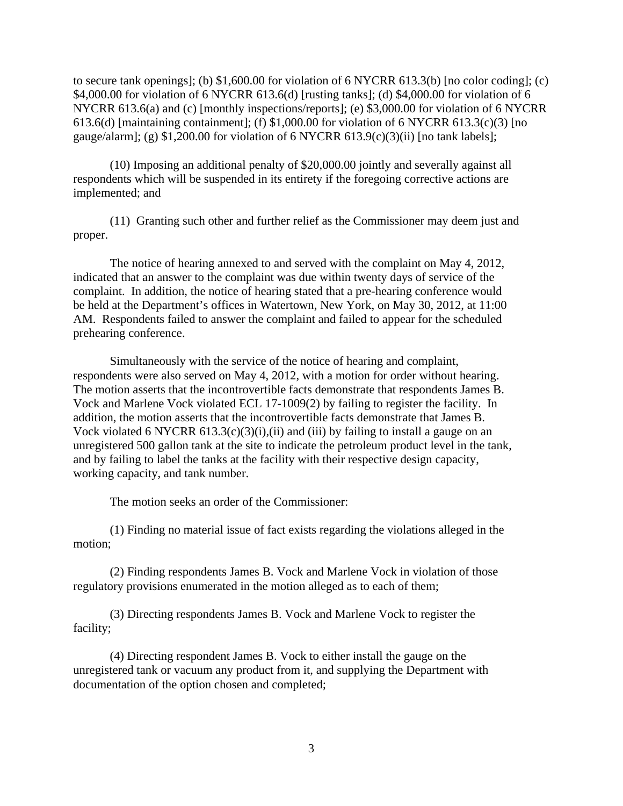to secure tank openings]; (b)  $$1,600.00$  for violation of 6 NYCRR 613.3(b) [no color coding]; (c) \$4,000.00 for violation of 6 NYCRR 613.6(d) [rusting tanks]; (d) \$4,000.00 for violation of 6 NYCRR 613.6(a) and (c) [monthly inspections/reports]; (e) \$3,000.00 for violation of 6 NYCRR 613.6(d) [maintaining containment]; (f) \$1,000.00 for violation of 6 NYCRR 613.3(c)(3) [no gauge/alarm]; (g) \$1,200.00 for violation of 6 NYCRR 613.9(c)(3)(ii) [no tank labels];

(10) Imposing an additional penalty of \$20,000.00 jointly and severally against all respondents which will be suspended in its entirety if the foregoing corrective actions are implemented; and

(11) Granting such other and further relief as the Commissioner may deem just and proper.

The notice of hearing annexed to and served with the complaint on May 4, 2012, indicated that an answer to the complaint was due within twenty days of service of the complaint. In addition, the notice of hearing stated that a pre-hearing conference would be held at the Department's offices in Watertown, New York, on May 30, 2012, at 11:00 AM. Respondents failed to answer the complaint and failed to appear for the scheduled prehearing conference.

Simultaneously with the service of the notice of hearing and complaint, respondents were also served on May 4, 2012, with a motion for order without hearing. The motion asserts that the incontrovertible facts demonstrate that respondents James B. Vock and Marlene Vock violated ECL 17-1009(2) by failing to register the facility. In addition, the motion asserts that the incontrovertible facts demonstrate that James B. Vock violated 6 NYCRR  $613.3(c)(3)(i)$ , (ii) and (iii) by failing to install a gauge on an unregistered 500 gallon tank at the site to indicate the petroleum product level in the tank, and by failing to label the tanks at the facility with their respective design capacity, working capacity, and tank number.

The motion seeks an order of the Commissioner:

(1) Finding no material issue of fact exists regarding the violations alleged in the motion;

(2) Finding respondents James B. Vock and Marlene Vock in violation of those regulatory provisions enumerated in the motion alleged as to each of them;

(3) Directing respondents James B. Vock and Marlene Vock to register the facility;

(4) Directing respondent James B. Vock to either install the gauge on the unregistered tank or vacuum any product from it, and supplying the Department with documentation of the option chosen and completed;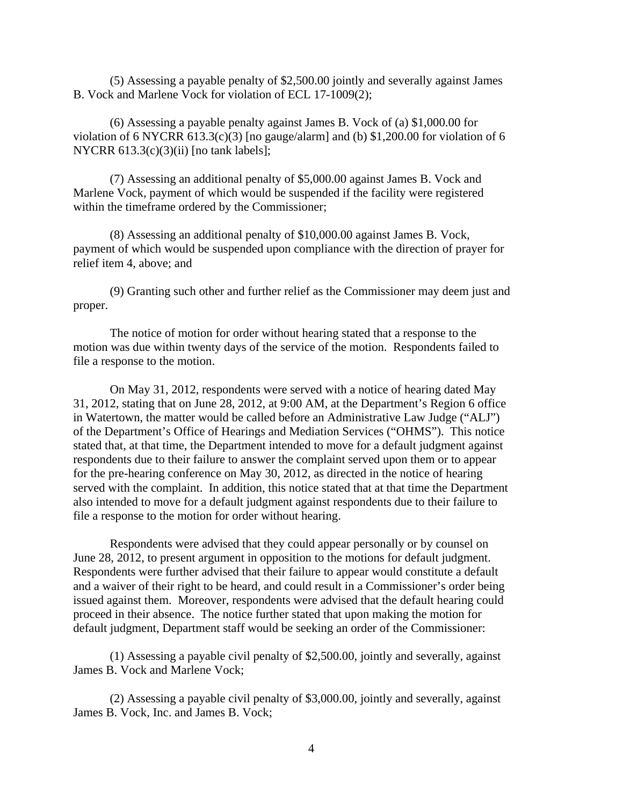(5) Assessing a payable penalty of \$2,500.00 jointly and severally against James B. Vock and Marlene Vock for violation of ECL 17-1009(2);

(6) Assessing a payable penalty against James B. Vock of (a) \$1,000.00 for violation of 6 NYCRR 613.3(c)(3) [no gauge/alarm] and (b)  $$1,200.00$  for violation of 6 NYCRR  $613.3(c)(3)(ii)$  [no tank labels];

(7) Assessing an additional penalty of \$5,000.00 against James B. Vock and Marlene Vock, payment of which would be suspended if the facility were registered within the timeframe ordered by the Commissioner;

(8) Assessing an additional penalty of \$10,000.00 against James B. Vock, payment of which would be suspended upon compliance with the direction of prayer for relief item 4, above; and

(9) Granting such other and further relief as the Commissioner may deem just and proper.

The notice of motion for order without hearing stated that a response to the motion was due within twenty days of the service of the motion. Respondents failed to file a response to the motion.

On May 31, 2012, respondents were served with a notice of hearing dated May 31, 2012, stating that on June 28, 2012, at 9:00 AM, at the Department's Region 6 office in Watertown, the matter would be called before an Administrative Law Judge ("ALJ") of the Department's Office of Hearings and Mediation Services ("OHMS"). This notice stated that, at that time, the Department intended to move for a default judgment against respondents due to their failure to answer the complaint served upon them or to appear for the pre-hearing conference on May 30, 2012, as directed in the notice of hearing served with the complaint. In addition, this notice stated that at that time the Department also intended to move for a default judgment against respondents due to their failure to file a response to the motion for order without hearing.

Respondents were advised that they could appear personally or by counsel on June 28, 2012, to present argument in opposition to the motions for default judgment. Respondents were further advised that their failure to appear would constitute a default and a waiver of their right to be heard, and could result in a Commissioner's order being issued against them. Moreover, respondents were advised that the default hearing could proceed in their absence. The notice further stated that upon making the motion for default judgment, Department staff would be seeking an order of the Commissioner:

(1) Assessing a payable civil penalty of \$2,500.00, jointly and severally, against James B. Vock and Marlene Vock;

(2) Assessing a payable civil penalty of \$3,000.00, jointly and severally, against James B. Vock, Inc. and James B. Vock;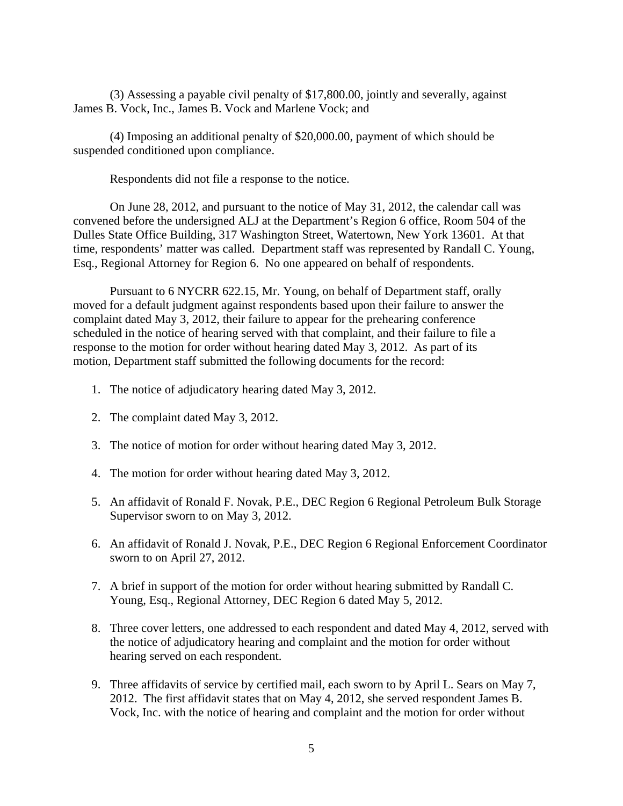(3) Assessing a payable civil penalty of \$17,800.00, jointly and severally, against James B. Vock, Inc., James B. Vock and Marlene Vock; and

(4) Imposing an additional penalty of \$20,000.00, payment of which should be suspended conditioned upon compliance.

Respondents did not file a response to the notice.

On June 28, 2012, and pursuant to the notice of May 31, 2012, the calendar call was convened before the undersigned ALJ at the Department's Region 6 office, Room 504 of the Dulles State Office Building, 317 Washington Street, Watertown, New York 13601. At that time, respondents' matter was called. Department staff was represented by Randall C. Young, Esq., Regional Attorney for Region 6. No one appeared on behalf of respondents.

Pursuant to 6 NYCRR 622.15, Mr. Young, on behalf of Department staff, orally moved for a default judgment against respondents based upon their failure to answer the complaint dated May 3, 2012, their failure to appear for the prehearing conference scheduled in the notice of hearing served with that complaint, and their failure to file a response to the motion for order without hearing dated May 3, 2012. As part of its motion, Department staff submitted the following documents for the record:

- 1. The notice of adjudicatory hearing dated May 3, 2012.
- 2. The complaint dated May 3, 2012.
- 3. The notice of motion for order without hearing dated May 3, 2012.
- 4. The motion for order without hearing dated May 3, 2012.
- 5. An affidavit of Ronald F. Novak, P.E., DEC Region 6 Regional Petroleum Bulk Storage Supervisor sworn to on May 3, 2012.
- 6. An affidavit of Ronald J. Novak, P.E., DEC Region 6 Regional Enforcement Coordinator sworn to on April 27, 2012.
- 7. A brief in support of the motion for order without hearing submitted by Randall C. Young, Esq., Regional Attorney, DEC Region 6 dated May 5, 2012.
- 8. Three cover letters, one addressed to each respondent and dated May 4, 2012, served with the notice of adjudicatory hearing and complaint and the motion for order without hearing served on each respondent.
- 9. Three affidavits of service by certified mail, each sworn to by April L. Sears on May 7, 2012. The first affidavit states that on May 4, 2012, she served respondent James B. Vock, Inc. with the notice of hearing and complaint and the motion for order without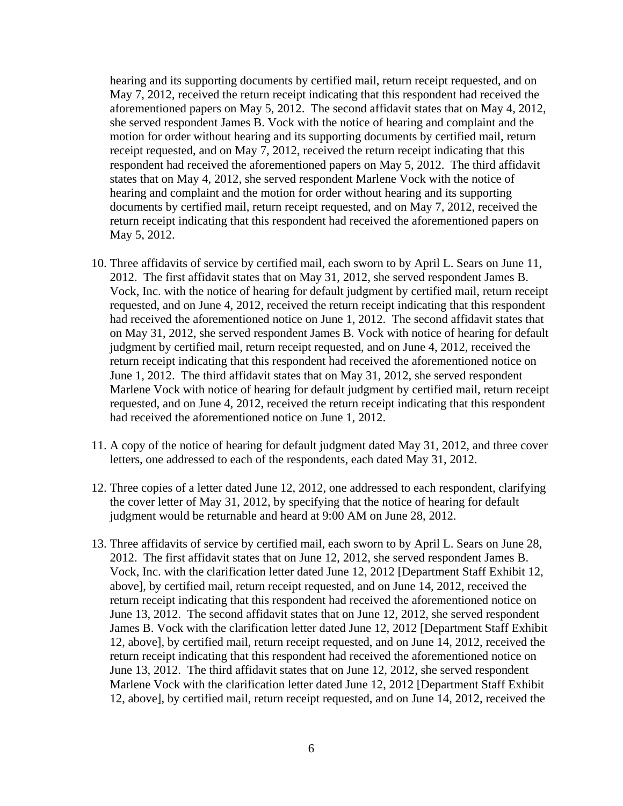hearing and its supporting documents by certified mail, return receipt requested, and on May 7, 2012, received the return receipt indicating that this respondent had received the aforementioned papers on May 5, 2012. The second affidavit states that on May 4, 2012, she served respondent James B. Vock with the notice of hearing and complaint and the motion for order without hearing and its supporting documents by certified mail, return receipt requested, and on May 7, 2012, received the return receipt indicating that this respondent had received the aforementioned papers on May 5, 2012. The third affidavit states that on May 4, 2012, she served respondent Marlene Vock with the notice of hearing and complaint and the motion for order without hearing and its supporting documents by certified mail, return receipt requested, and on May 7, 2012, received the return receipt indicating that this respondent had received the aforementioned papers on May 5, 2012.

- 10. Three affidavits of service by certified mail, each sworn to by April L. Sears on June 11, 2012. The first affidavit states that on May 31, 2012, she served respondent James B. Vock, Inc. with the notice of hearing for default judgment by certified mail, return receipt requested, and on June 4, 2012, received the return receipt indicating that this respondent had received the aforementioned notice on June 1, 2012. The second affidavit states that on May 31, 2012, she served respondent James B. Vock with notice of hearing for default judgment by certified mail, return receipt requested, and on June 4, 2012, received the return receipt indicating that this respondent had received the aforementioned notice on June 1, 2012. The third affidavit states that on May 31, 2012, she served respondent Marlene Vock with notice of hearing for default judgment by certified mail, return receipt requested, and on June 4, 2012, received the return receipt indicating that this respondent had received the aforementioned notice on June 1, 2012.
- 11. A copy of the notice of hearing for default judgment dated May 31, 2012, and three cover letters, one addressed to each of the respondents, each dated May 31, 2012.
- 12. Three copies of a letter dated June 12, 2012, one addressed to each respondent, clarifying the cover letter of May 31, 2012, by specifying that the notice of hearing for default judgment would be returnable and heard at 9:00 AM on June 28, 2012.
- 13. Three affidavits of service by certified mail, each sworn to by April L. Sears on June 28, 2012. The first affidavit states that on June 12, 2012, she served respondent James B. Vock, Inc. with the clarification letter dated June 12, 2012 [Department Staff Exhibit 12, above], by certified mail, return receipt requested, and on June 14, 2012, received the return receipt indicating that this respondent had received the aforementioned notice on June 13, 2012. The second affidavit states that on June 12, 2012, she served respondent James B. Vock with the clarification letter dated June 12, 2012 [Department Staff Exhibit 12, above], by certified mail, return receipt requested, and on June 14, 2012, received the return receipt indicating that this respondent had received the aforementioned notice on June 13, 2012. The third affidavit states that on June 12, 2012, she served respondent Marlene Vock with the clarification letter dated June 12, 2012 [Department Staff Exhibit 12, above], by certified mail, return receipt requested, and on June 14, 2012, received the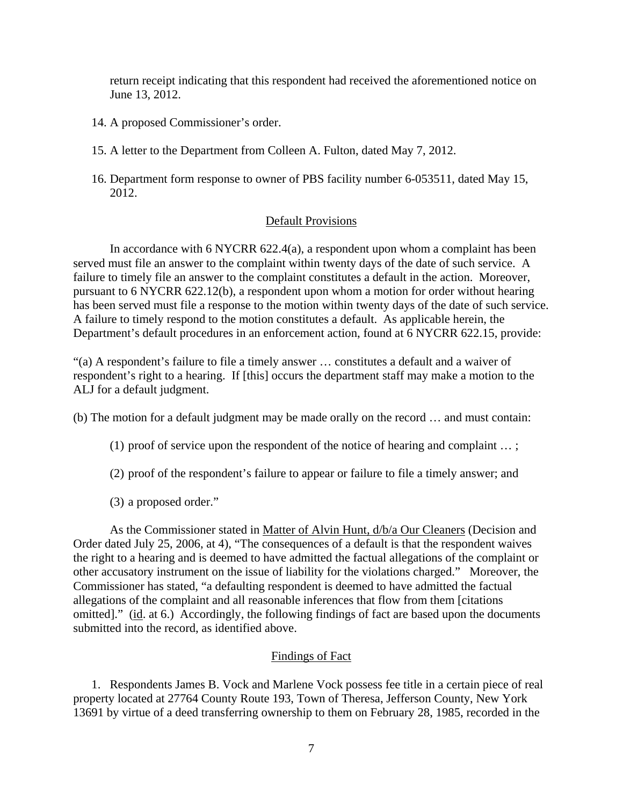return receipt indicating that this respondent had received the aforementioned notice on June 13, 2012.

- 14. A proposed Commissioner's order.
- 15. A letter to the Department from Colleen A. Fulton, dated May 7, 2012.
- 16. Department form response to owner of PBS facility number 6-053511, dated May 15, 2012.

#### Default Provisions

 In accordance with 6 NYCRR 622.4(a), a respondent upon whom a complaint has been served must file an answer to the complaint within twenty days of the date of such service. A failure to timely file an answer to the complaint constitutes a default in the action. Moreover, pursuant to 6 NYCRR 622.12(b), a respondent upon whom a motion for order without hearing has been served must file a response to the motion within twenty days of the date of such service. A failure to timely respond to the motion constitutes a default. As applicable herein, the Department's default procedures in an enforcement action, found at 6 NYCRR 622.15, provide:

"(a) A respondent's failure to file a timely answer … constitutes a default and a waiver of respondent's right to a hearing. If [this] occurs the department staff may make a motion to the ALJ for a default judgment.

(b) The motion for a default judgment may be made orally on the record … and must contain:

- (1) proof of service upon the respondent of the notice of hearing and complaint … ;
- (2) proof of the respondent's failure to appear or failure to file a timely answer; and
- (3) a proposed order."

 As the Commissioner stated in Matter of Alvin Hunt, d/b/a Our Cleaners (Decision and Order dated July 25, 2006, at 4), "The consequences of a default is that the respondent waives the right to a hearing and is deemed to have admitted the factual allegations of the complaint or other accusatory instrument on the issue of liability for the violations charged." Moreover, the Commissioner has stated, "a defaulting respondent is deemed to have admitted the factual allegations of the complaint and all reasonable inferences that flow from them [citations omitted]." (id. at 6.) Accordingly, the following findings of fact are based upon the documents submitted into the record, as identified above.

### Findings of Fact

1. Respondents James B. Vock and Marlene Vock possess fee title in a certain piece of real property located at 27764 County Route 193, Town of Theresa, Jefferson County, New York 13691 by virtue of a deed transferring ownership to them on February 28, 1985, recorded in the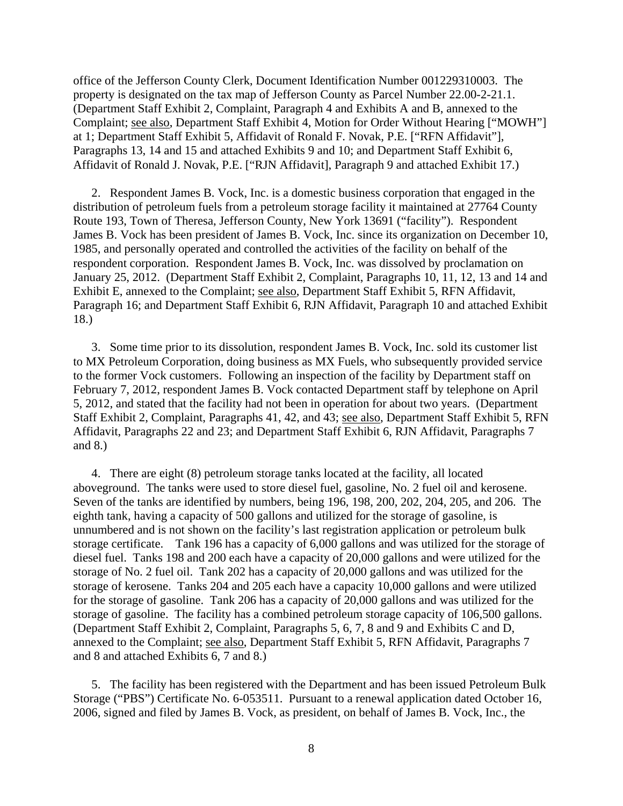office of the Jefferson County Clerk, Document Identification Number 001229310003. The property is designated on the tax map of Jefferson County as Parcel Number 22.00-2-21.1. (Department Staff Exhibit 2, Complaint, Paragraph 4 and Exhibits A and B, annexed to the Complaint; see also, Department Staff Exhibit 4, Motion for Order Without Hearing ["MOWH"] at 1; Department Staff Exhibit 5, Affidavit of Ronald F. Novak, P.E. ["RFN Affidavit"], Paragraphs 13, 14 and 15 and attached Exhibits 9 and 10; and Department Staff Exhibit 6, Affidavit of Ronald J. Novak, P.E. ["RJN Affidavit], Paragraph 9 and attached Exhibit 17.)

2. Respondent James B. Vock, Inc. is a domestic business corporation that engaged in the distribution of petroleum fuels from a petroleum storage facility it maintained at 27764 County Route 193, Town of Theresa, Jefferson County, New York 13691 ("facility"). Respondent James B. Vock has been president of James B. Vock, Inc. since its organization on December 10, 1985, and personally operated and controlled the activities of the facility on behalf of the respondent corporation. Respondent James B. Vock, Inc. was dissolved by proclamation on January 25, 2012. (Department Staff Exhibit 2, Complaint, Paragraphs 10, 11, 12, 13 and 14 and Exhibit E, annexed to the Complaint; see also, Department Staff Exhibit 5, RFN Affidavit, Paragraph 16; and Department Staff Exhibit 6, RJN Affidavit, Paragraph 10 and attached Exhibit 18.)

3. Some time prior to its dissolution, respondent James B. Vock, Inc. sold its customer list to MX Petroleum Corporation, doing business as MX Fuels, who subsequently provided service to the former Vock customers. Following an inspection of the facility by Department staff on February 7, 2012, respondent James B. Vock contacted Department staff by telephone on April 5, 2012, and stated that the facility had not been in operation for about two years. (Department Staff Exhibit 2, Complaint, Paragraphs 41, 42, and 43; see also, Department Staff Exhibit 5, RFN Affidavit, Paragraphs 22 and 23; and Department Staff Exhibit 6, RJN Affidavit, Paragraphs 7 and 8.)

4. There are eight (8) petroleum storage tanks located at the facility, all located aboveground. The tanks were used to store diesel fuel, gasoline, No. 2 fuel oil and kerosene. Seven of the tanks are identified by numbers, being 196, 198, 200, 202, 204, 205, and 206. The eighth tank, having a capacity of 500 gallons and utilized for the storage of gasoline, is unnumbered and is not shown on the facility's last registration application or petroleum bulk storage certificate. Tank 196 has a capacity of 6,000 gallons and was utilized for the storage of diesel fuel. Tanks 198 and 200 each have a capacity of 20,000 gallons and were utilized for the storage of No. 2 fuel oil. Tank 202 has a capacity of 20,000 gallons and was utilized for the storage of kerosene. Tanks 204 and 205 each have a capacity 10,000 gallons and were utilized for the storage of gasoline. Tank 206 has a capacity of 20,000 gallons and was utilized for the storage of gasoline. The facility has a combined petroleum storage capacity of 106,500 gallons. (Department Staff Exhibit 2, Complaint, Paragraphs 5, 6, 7, 8 and 9 and Exhibits C and D, annexed to the Complaint; see also, Department Staff Exhibit 5, RFN Affidavit, Paragraphs 7 and 8 and attached Exhibits 6, 7 and 8.)

5. The facility has been registered with the Department and has been issued Petroleum Bulk Storage ("PBS") Certificate No. 6-053511. Pursuant to a renewal application dated October 16, 2006, signed and filed by James B. Vock, as president, on behalf of James B. Vock, Inc., the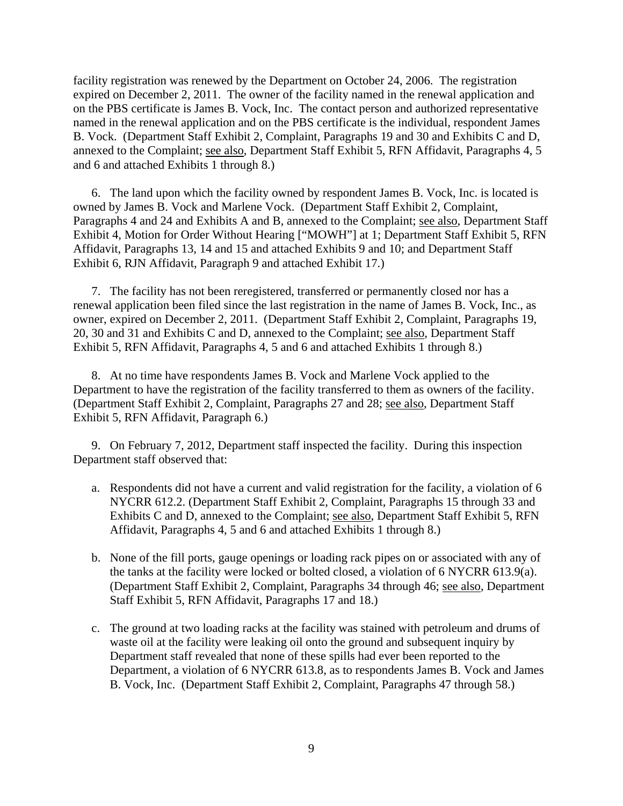facility registration was renewed by the Department on October 24, 2006. The registration expired on December 2, 2011. The owner of the facility named in the renewal application and on the PBS certificate is James B. Vock, Inc. The contact person and authorized representative named in the renewal application and on the PBS certificate is the individual, respondent James B. Vock. (Department Staff Exhibit 2, Complaint, Paragraphs 19 and 30 and Exhibits C and D, annexed to the Complaint; see also, Department Staff Exhibit 5, RFN Affidavit, Paragraphs 4, 5 and 6 and attached Exhibits 1 through 8.)

6. The land upon which the facility owned by respondent James B. Vock, Inc. is located is owned by James B. Vock and Marlene Vock. (Department Staff Exhibit 2, Complaint, Paragraphs 4 and 24 and Exhibits A and B, annexed to the Complaint; see also, Department Staff Exhibit 4, Motion for Order Without Hearing ["MOWH"] at 1; Department Staff Exhibit 5, RFN Affidavit, Paragraphs 13, 14 and 15 and attached Exhibits 9 and 10; and Department Staff Exhibit 6, RJN Affidavit, Paragraph 9 and attached Exhibit 17.)

7. The facility has not been reregistered, transferred or permanently closed nor has a renewal application been filed since the last registration in the name of James B. Vock, Inc., as owner, expired on December 2, 2011. (Department Staff Exhibit 2, Complaint, Paragraphs 19, 20, 30 and 31 and Exhibits C and D, annexed to the Complaint; see also, Department Staff Exhibit 5, RFN Affidavit, Paragraphs 4, 5 and 6 and attached Exhibits 1 through 8.)

8. At no time have respondents James B. Vock and Marlene Vock applied to the Department to have the registration of the facility transferred to them as owners of the facility. (Department Staff Exhibit 2, Complaint, Paragraphs 27 and 28; see also, Department Staff Exhibit 5, RFN Affidavit, Paragraph 6.)

9. On February 7, 2012, Department staff inspected the facility. During this inspection Department staff observed that:

- a. Respondents did not have a current and valid registration for the facility, a violation of 6 NYCRR 612.2. (Department Staff Exhibit 2, Complaint, Paragraphs 15 through 33 and Exhibits C and D, annexed to the Complaint; see also, Department Staff Exhibit 5, RFN Affidavit, Paragraphs 4, 5 and 6 and attached Exhibits 1 through 8.)
- b. None of the fill ports, gauge openings or loading rack pipes on or associated with any of the tanks at the facility were locked or bolted closed, a violation of 6 NYCRR 613.9(a). (Department Staff Exhibit 2, Complaint, Paragraphs 34 through 46; see also, Department Staff Exhibit 5, RFN Affidavit, Paragraphs 17 and 18.)
- c. The ground at two loading racks at the facility was stained with petroleum and drums of waste oil at the facility were leaking oil onto the ground and subsequent inquiry by Department staff revealed that none of these spills had ever been reported to the Department, a violation of 6 NYCRR 613.8, as to respondents James B. Vock and James B. Vock, Inc. (Department Staff Exhibit 2, Complaint, Paragraphs 47 through 58.)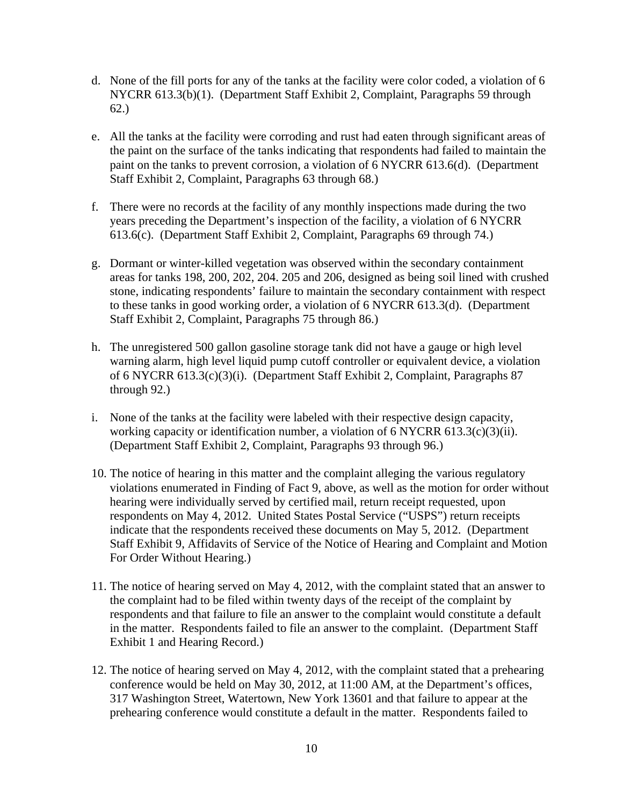- d. None of the fill ports for any of the tanks at the facility were color coded, a violation of 6 NYCRR 613.3(b)(1). (Department Staff Exhibit 2, Complaint, Paragraphs 59 through 62.)
- e. All the tanks at the facility were corroding and rust had eaten through significant areas of the paint on the surface of the tanks indicating that respondents had failed to maintain the paint on the tanks to prevent corrosion, a violation of 6 NYCRR 613.6(d). (Department Staff Exhibit 2, Complaint, Paragraphs 63 through 68.)
- f. There were no records at the facility of any monthly inspections made during the two years preceding the Department's inspection of the facility, a violation of 6 NYCRR 613.6(c). (Department Staff Exhibit 2, Complaint, Paragraphs 69 through 74.)
- g. Dormant or winter-killed vegetation was observed within the secondary containment areas for tanks 198, 200, 202, 204. 205 and 206, designed as being soil lined with crushed stone, indicating respondents' failure to maintain the secondary containment with respect to these tanks in good working order, a violation of 6 NYCRR 613.3(d). (Department Staff Exhibit 2, Complaint, Paragraphs 75 through 86.)
- h. The unregistered 500 gallon gasoline storage tank did not have a gauge or high level warning alarm, high level liquid pump cutoff controller or equivalent device, a violation of 6 NYCRR 613.3(c)(3)(i). (Department Staff Exhibit 2, Complaint, Paragraphs 87 through 92.)
- i. None of the tanks at the facility were labeled with their respective design capacity, working capacity or identification number, a violation of 6 NYCRR 613.3(c)(3)(ii). (Department Staff Exhibit 2, Complaint, Paragraphs 93 through 96.)
- 10. The notice of hearing in this matter and the complaint alleging the various regulatory violations enumerated in Finding of Fact 9, above, as well as the motion for order without hearing were individually served by certified mail, return receipt requested, upon respondents on May 4, 2012. United States Postal Service ("USPS") return receipts indicate that the respondents received these documents on May 5, 2012. (Department Staff Exhibit 9, Affidavits of Service of the Notice of Hearing and Complaint and Motion For Order Without Hearing.)
- 11. The notice of hearing served on May 4, 2012, with the complaint stated that an answer to the complaint had to be filed within twenty days of the receipt of the complaint by respondents and that failure to file an answer to the complaint would constitute a default in the matter. Respondents failed to file an answer to the complaint. (Department Staff Exhibit 1 and Hearing Record.)
- 12. The notice of hearing served on May 4, 2012, with the complaint stated that a prehearing conference would be held on May 30, 2012, at 11:00 AM, at the Department's offices, 317 Washington Street, Watertown, New York 13601 and that failure to appear at the prehearing conference would constitute a default in the matter. Respondents failed to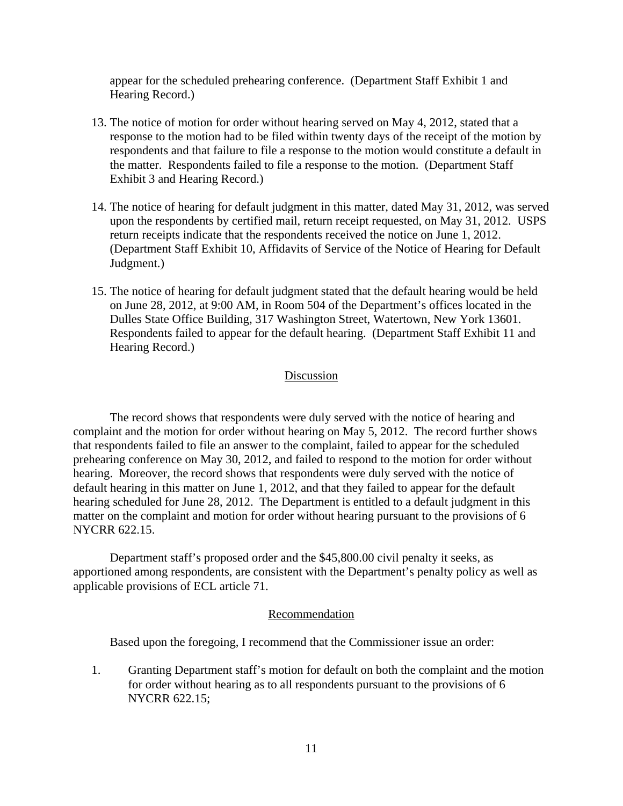appear for the scheduled prehearing conference. (Department Staff Exhibit 1 and Hearing Record.)

- 13. The notice of motion for order without hearing served on May 4, 2012, stated that a response to the motion had to be filed within twenty days of the receipt of the motion by respondents and that failure to file a response to the motion would constitute a default in the matter. Respondents failed to file a response to the motion. (Department Staff Exhibit 3 and Hearing Record.)
- 14. The notice of hearing for default judgment in this matter, dated May 31, 2012, was served upon the respondents by certified mail, return receipt requested, on May 31, 2012. USPS return receipts indicate that the respondents received the notice on June 1, 2012. (Department Staff Exhibit 10, Affidavits of Service of the Notice of Hearing for Default Judgment.)
- 15. The notice of hearing for default judgment stated that the default hearing would be held on June 28, 2012, at 9:00 AM, in Room 504 of the Department's offices located in the Dulles State Office Building, 317 Washington Street, Watertown, New York 13601. Respondents failed to appear for the default hearing. (Department Staff Exhibit 11 and Hearing Record.)

### Discussion

The record shows that respondents were duly served with the notice of hearing and complaint and the motion for order without hearing on May 5, 2012. The record further shows that respondents failed to file an answer to the complaint, failed to appear for the scheduled prehearing conference on May 30, 2012, and failed to respond to the motion for order without hearing. Moreover, the record shows that respondents were duly served with the notice of default hearing in this matter on June 1, 2012, and that they failed to appear for the default hearing scheduled for June 28, 2012. The Department is entitled to a default judgment in this matter on the complaint and motion for order without hearing pursuant to the provisions of 6 NYCRR 622.15.

Department staff's proposed order and the \$45,800.00 civil penalty it seeks, as apportioned among respondents, are consistent with the Department's penalty policy as well as applicable provisions of ECL article 71.

#### Recommendation

Based upon the foregoing, I recommend that the Commissioner issue an order:

1. Granting Department staff's motion for default on both the complaint and the motion for order without hearing as to all respondents pursuant to the provisions of 6 NYCRR 622.15;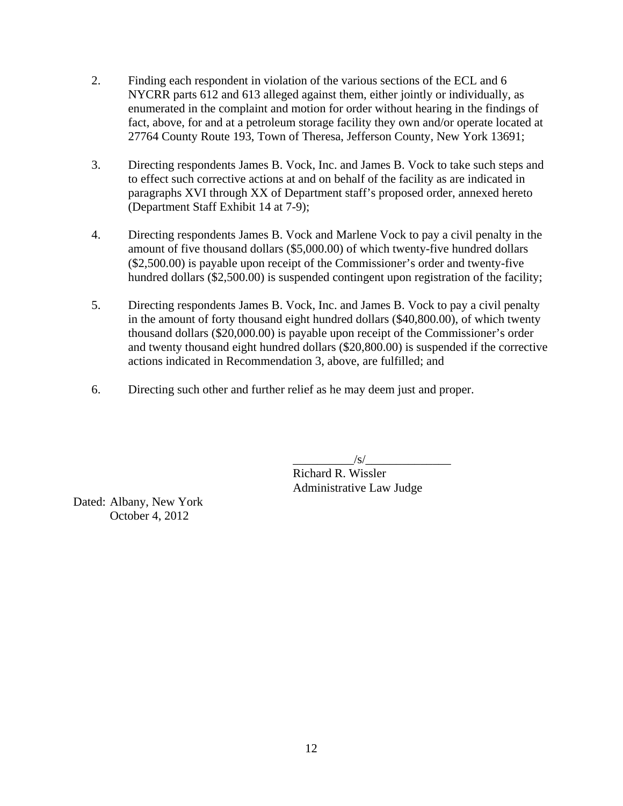- 2. Finding each respondent in violation of the various sections of the ECL and 6 NYCRR parts 612 and 613 alleged against them, either jointly or individually, as enumerated in the complaint and motion for order without hearing in the findings of fact, above, for and at a petroleum storage facility they own and/or operate located at 27764 County Route 193, Town of Theresa, Jefferson County, New York 13691;
- 3. Directing respondents James B. Vock, Inc. and James B. Vock to take such steps and to effect such corrective actions at and on behalf of the facility as are indicated in paragraphs XVI through XX of Department staff's proposed order, annexed hereto (Department Staff Exhibit 14 at 7-9);
- 4. Directing respondents James B. Vock and Marlene Vock to pay a civil penalty in the amount of five thousand dollars (\$5,000.00) of which twenty-five hundred dollars (\$2,500.00) is payable upon receipt of the Commissioner's order and twenty-five hundred dollars (\$2,500.00) is suspended contingent upon registration of the facility;
- 5. Directing respondents James B. Vock, Inc. and James B. Vock to pay a civil penalty in the amount of forty thousand eight hundred dollars (\$40,800.00), of which twenty thousand dollars (\$20,000.00) is payable upon receipt of the Commissioner's order and twenty thousand eight hundred dollars (\$20,800.00) is suspended if the corrective actions indicated in Recommendation 3, above, are fulfilled; and
- 6. Directing such other and further relief as he may deem just and proper.

 $\sqrt{s}$ /

 Richard R. Wissler Administrative Law Judge

Dated: Albany, New York October 4, 2012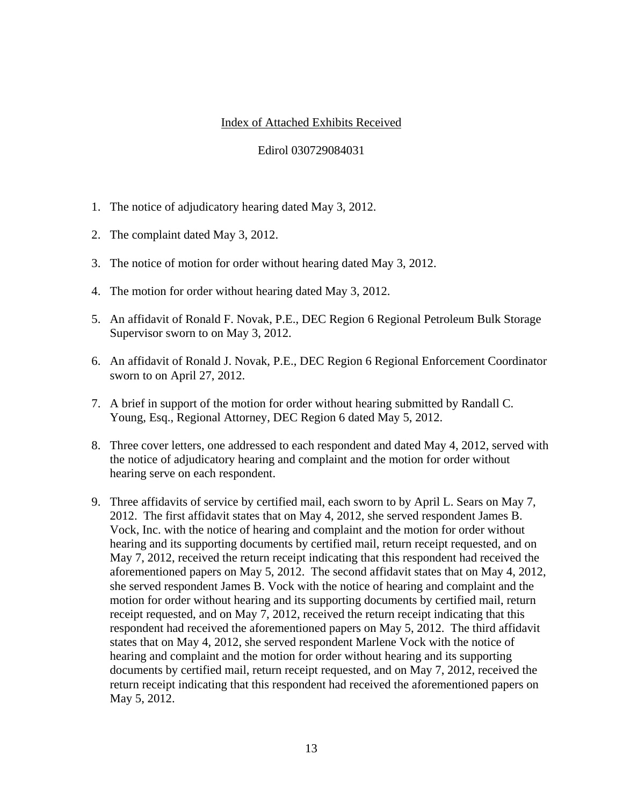# Index of Attached Exhibits Received

### Edirol 030729084031

- 1. The notice of adjudicatory hearing dated May 3, 2012.
- 2. The complaint dated May 3, 2012.
- 3. The notice of motion for order without hearing dated May 3, 2012.
- 4. The motion for order without hearing dated May 3, 2012.
- 5. An affidavit of Ronald F. Novak, P.E., DEC Region 6 Regional Petroleum Bulk Storage Supervisor sworn to on May 3, 2012.
- 6. An affidavit of Ronald J. Novak, P.E., DEC Region 6 Regional Enforcement Coordinator sworn to on April 27, 2012.
- 7. A brief in support of the motion for order without hearing submitted by Randall C. Young, Esq., Regional Attorney, DEC Region 6 dated May 5, 2012.
- 8. Three cover letters, one addressed to each respondent and dated May 4, 2012, served with the notice of adjudicatory hearing and complaint and the motion for order without hearing serve on each respondent.
- 9. Three affidavits of service by certified mail, each sworn to by April L. Sears on May 7, 2012. The first affidavit states that on May 4, 2012, she served respondent James B. Vock, Inc. with the notice of hearing and complaint and the motion for order without hearing and its supporting documents by certified mail, return receipt requested, and on May 7, 2012, received the return receipt indicating that this respondent had received the aforementioned papers on May 5, 2012. The second affidavit states that on May 4, 2012, she served respondent James B. Vock with the notice of hearing and complaint and the motion for order without hearing and its supporting documents by certified mail, return receipt requested, and on May 7, 2012, received the return receipt indicating that this respondent had received the aforementioned papers on May 5, 2012. The third affidavit states that on May 4, 2012, she served respondent Marlene Vock with the notice of hearing and complaint and the motion for order without hearing and its supporting documents by certified mail, return receipt requested, and on May 7, 2012, received the return receipt indicating that this respondent had received the aforementioned papers on May 5, 2012.